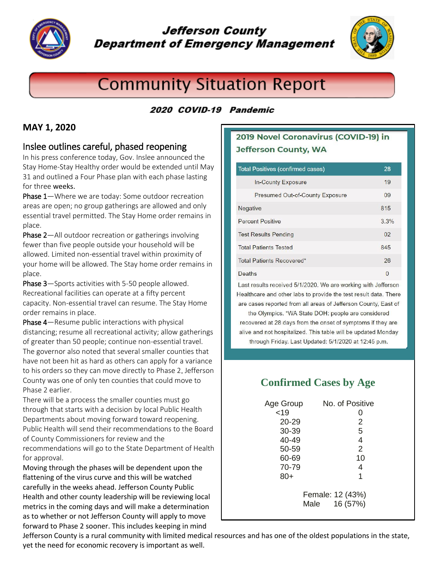

### **Jefferson County Department of Emergency Management**



# **Community Situation Report**

#### 2020 COVID-19 Pandemic

#### **MAY 1, 2020**

#### Inslee outlines careful, phased reopening

In his press conference today, Gov. Inslee announced the Stay Home-Stay Healthy order would be extended until May 31 and outlined a Four Phase plan with each phase lasting for three weeks.

Phase 1—Where we are today: Some outdoor recreation areas are open; no group gatherings are allowed and only essential travel permitted. The Stay Home order remains in place.

Phase 2—All outdoor recreation or gatherings involving fewer than five people outside your household will be allowed. Limited non-essential travel within proximity of your home will be allowed. The Stay home order remains in place.

Phase 3—Sports activities with 5-50 people allowed. Recreational facilities can operate at a fifty percent capacity. Non-essential travel can resume. The Stay Home order remains in place.

Phase 4—Resume public interactions with physical distancing; resume all recreational activity; allow gatherings of greater than 50 people; continue non-essential travel. The governor also noted that several smaller counties that have not been hit as hard as others can apply for a variance to his orders so they can move directly to Phase 2. Jefferson County was one of only ten counties that could move to Phase 2 earlier.

There will be a process the smaller counties must go through that starts with a decision by local Public Health Departments about moving forward toward reopening. Public Health will send their recommendations to the Board of County Commissioners for review and the recommendations will go to the State Department of Health

for approval.

Moving through the phases will be dependent upon the flattening of the virus curve and this will be watched carefully in the weeks ahead. Jefferson County Public Health and other county leadership will be reviewing local metrics in the coming days and will make a determination as to whether or not Jefferson County will apply to move forward to Phase 2 sooner. This includes keeping in mind

#### 2019 Novel Coronavirus (COVID-19) in **Jefferson County, WA**

| <b>Total Positives (confirmed cases)</b> | 28             |
|------------------------------------------|----------------|
| In-County Exposure                       | 19             |
| Presumed Out-of-County Exposure          | 09             |
| Negative                                 | 815            |
| <b>Percent Positive</b>                  | 3.3%           |
| <b>Test Results Pending</b>              | 0 <sup>2</sup> |
| <b>Total Patients Tested</b>             | 845            |
| Total Patients Recovered*                | 26             |
| Deaths                                   | $\Omega$       |

Last results received 5/1/2020. We are working with Jefferson Healthcare and other labs to provide the test result data. There are cases reported from all areas of Jefferson County, East of

the Olympics. \*WA State DOH: people are considered recovered at 28 days from the onset of symptoms if they are alive and not hospitalized. This table will be updated Monday through Friday. Last Updated: 5/1/2020 at 12:45 p.m.

### **Confirmed Cases by Age**

| Age Group                            | No. of Positive |
|--------------------------------------|-----------------|
| < 19                                 | O               |
| $20 - 29$                            | 2               |
| 30-39                                | 5               |
| 40-49                                | 4               |
| 50-59                                | $\overline{2}$  |
| 60-69                                | 10              |
| 70-79                                | 4               |
| 80+                                  | 1               |
| Female: 12 (43%)<br>16 (57%)<br>Male |                 |

Jefferson County is a rural community with limited medical resources and has one of the oldest populations in the state, yet the need for economic recovery is important as well.